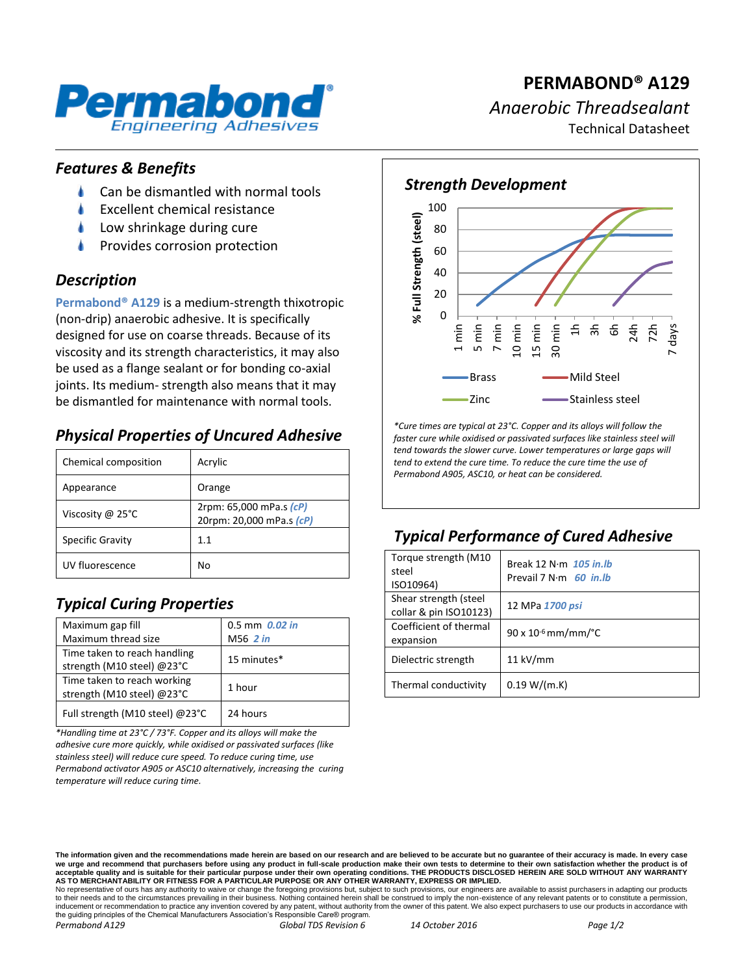

# **PERMABOND® A129** *Anaerobic Threadsealant* Technical Datasheet

#### *Features & Benefits*

- Can be dismantled with normal tools
- Excellent chemical resistance
- Low shrinkage during cure
- Provides corrosion protection

#### *Description*

**Permabond® A129** is a medium-strength thixotropic (non-drip) anaerobic adhesive. It is specifically designed for use on coarse threads. Because of its viscosity and its strength characteristics, it may also be used as a flange sealant or for bonding co-axial joints. Its medium- strength also means that it may be dismantled for maintenance with normal tools.

## *Physical Properties of Uncured Adhesive*

| Chemical composition | Acrylic                                             |
|----------------------|-----------------------------------------------------|
| Appearance           | Orange                                              |
| Viscosity @ 25°C     | 2rpm: 65,000 mPa.s (cP)<br>20rpm: 20,000 mPa.s (cP) |
| Specific Gravity     | 1.1                                                 |
| UV fluorescence      | No                                                  |

# *Typical Curing Properties*

| Maximum gap fill                                           | $0.5$ mm $0.02$ in |
|------------------------------------------------------------|--------------------|
| Maximum thread size                                        | M56 2 in           |
| Time taken to reach handling<br>strength (M10 steel) @23°C | 15 minutes*        |
| Time taken to reach working<br>strength (M10 steel) @23°C  | 1 hour             |
| Full strength (M10 steel) @23°C                            | 24 hours           |

*\*Handling time at 23°C / 73°F. Copper and its alloys will make the adhesive cure more quickly, while oxidised or passivated surfaces (like stainless steel) will reduce cure speed. To reduce curing time, use Permabond activator A905 or ASC10 alternatively, increasing the curing temperature will reduce curing time.*



*\*Cure times are typical at 23°C. Copper and its alloys will follow the faster cure while oxidised or passivated surfaces like stainless steel will tend towards the slower curve. Lower temperatures or large gaps will tend to extend the cure time. To reduce the cure time the use of Permabond A905, ASC10, or heat can be considered.*

# *Typical Performance of Cured Adhesive*

| Torque strength (M10<br>steel<br>ISO10964)      | Break 12 N $\cdot$ m 105 in.lb<br>Prevail 7 $N \cdot m$ 60 in Ib |
|-------------------------------------------------|------------------------------------------------------------------|
| Shear strength (steel<br>collar & pin ISO10123) | 12 MPa 1700 psi                                                  |
| Coefficient of thermal<br>expansion             | $90 \times 10^{-6}$ mm/mm/°C                                     |
| Dielectric strength                             | $11$ kV/mm                                                       |
| Thermal conductivity                            | 0.19 W/(m.K)                                                     |

No representative of ours has any authority to waive or change the foregoing provisions but, subject to such provisions, our engineers are available to assist purchasers in adapting our products to their needs and to the circumstances prevailing in their business. Nothing contained herein shall be construed to imply the non-existence of any relevant patents or to constitute a permission, inducement or recommendation to practice any invention covered by any patent, without authority from the owner of this patent. We also expect purchasers to use our products in accordance with the guiding principles of the Chemical Manufacturers Association's Responsible Care® program.

*Permabond A129 Global TDS Revision 6 14 October 2016 Page 1/2*

**The information given and the recommendations made herein are based on our research and are believed to be accurate but no guarantee of their accuracy is made. In every case**  we urge and recommend that purchasers before using any product in full-scale production make their own tests to determine to their own satisfaction whether the production acceptable quality and is suitable for their particular purpose under their own operating conditions. THE PRODUCTS DISCLOSED HEREIN ARE SOLD WITHOUT ANY WARRANTY<br>AS TO MERCHANTABILITY OR FITNESS FOR A PARTICULAR PURPOSE OR